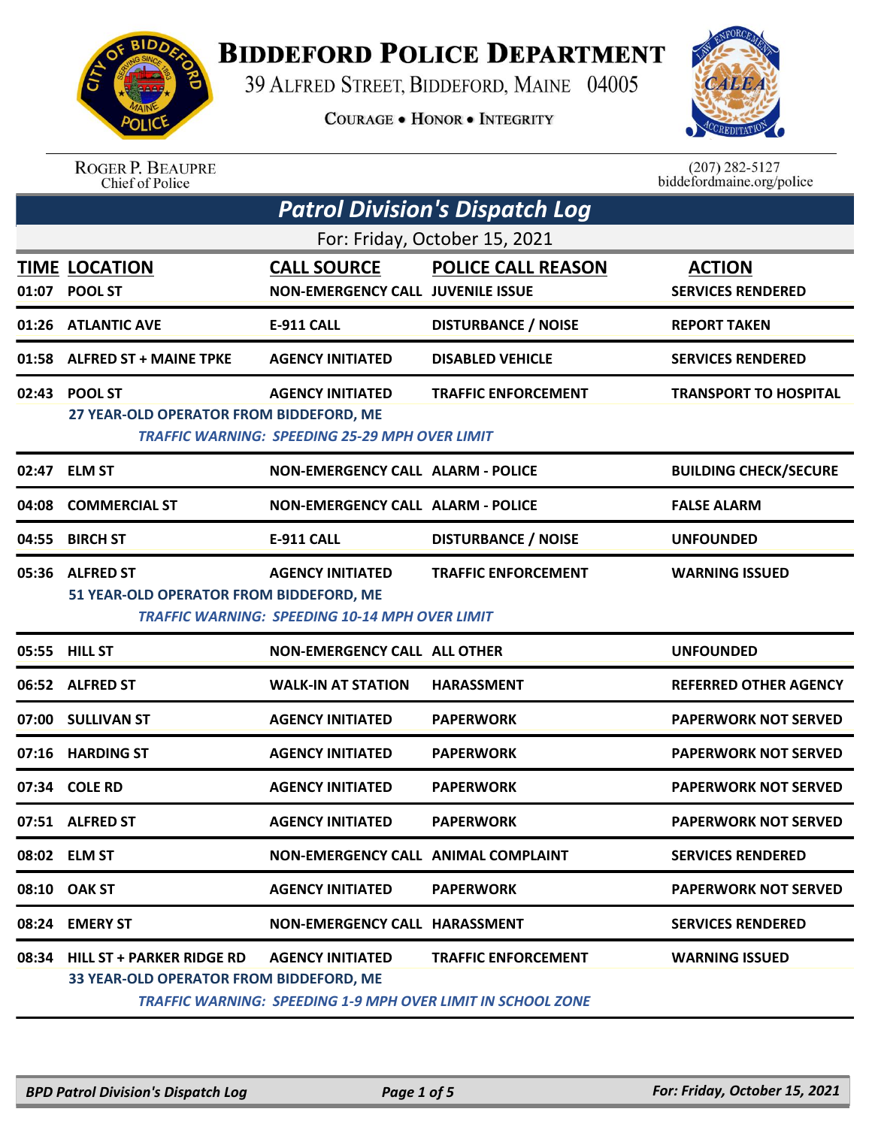

## **BIDDEFORD POLICE DEPARTMENT**

39 ALFRED STREET, BIDDEFORD, MAINE 04005

**COURAGE . HONOR . INTEGRITY** 



ROGER P. BEAUPRE<br>Chief of Police

 $(207)$  282-5127<br>biddefordmaine.org/police

| <b>Patrol Division's Dispatch Log</b> |                                                                            |                                                                                  |                                                                                                  |                                           |  |
|---------------------------------------|----------------------------------------------------------------------------|----------------------------------------------------------------------------------|--------------------------------------------------------------------------------------------------|-------------------------------------------|--|
| For: Friday, October 15, 2021         |                                                                            |                                                                                  |                                                                                                  |                                           |  |
| 01:07                                 | <b>TIME LOCATION</b><br>POOL ST                                            | <b>CALL SOURCE</b><br><b>NON-EMERGENCY CALL JUVENILE ISSUE</b>                   | <b>POLICE CALL REASON</b>                                                                        | <b>ACTION</b><br><b>SERVICES RENDERED</b> |  |
| 01:26                                 | <b>ATLANTIC AVE</b>                                                        | <b>E-911 CALL</b>                                                                | <b>DISTURBANCE / NOISE</b>                                                                       | <b>REPORT TAKEN</b>                       |  |
| 01:58                                 | <b>ALFRED ST + MAINE TPKE</b>                                              | <b>AGENCY INITIATED</b>                                                          | <b>DISABLED VEHICLE</b>                                                                          | <b>SERVICES RENDERED</b>                  |  |
| 02:43                                 | <b>POOL ST</b><br>27 YEAR-OLD OPERATOR FROM BIDDEFORD, ME                  | <b>AGENCY INITIATED</b><br><b>TRAFFIC WARNING: SPEEDING 25-29 MPH OVER LIMIT</b> | <b>TRAFFIC ENFORCEMENT</b>                                                                       | <b>TRANSPORT TO HOSPITAL</b>              |  |
| 02:47                                 | <b>ELM ST</b>                                                              | <b>NON-EMERGENCY CALL ALARM - POLICE</b>                                         |                                                                                                  | <b>BUILDING CHECK/SECURE</b>              |  |
| 04:08                                 | <b>COMMERCIAL ST</b>                                                       | <b>NON-EMERGENCY CALL ALARM - POLICE</b>                                         |                                                                                                  | <b>FALSE ALARM</b>                        |  |
| 04:55                                 | <b>BIRCH ST</b>                                                            | E-911 CALL                                                                       | <b>DISTURBANCE / NOISE</b>                                                                       | <b>UNFOUNDED</b>                          |  |
|                                       | 05:36 ALFRED ST<br>51 YEAR-OLD OPERATOR FROM BIDDEFORD, ME                 | <b>AGENCY INITIATED</b><br><b>TRAFFIC WARNING: SPEEDING 10-14 MPH OVER LIMIT</b> | <b>TRAFFIC ENFORCEMENT</b>                                                                       | <b>WARNING ISSUED</b>                     |  |
|                                       | 05:55 HILL ST                                                              | <b>NON-EMERGENCY CALL ALL OTHER</b>                                              |                                                                                                  | <b>UNFOUNDED</b>                          |  |
|                                       | 06:52 ALFRED ST                                                            | <b>WALK-IN AT STATION</b>                                                        | <b>HARASSMENT</b>                                                                                | <b>REFERRED OTHER AGENCY</b>              |  |
| 07:00                                 | <b>SULLIVAN ST</b>                                                         | <b>AGENCY INITIATED</b>                                                          | <b>PAPERWORK</b>                                                                                 | <b>PAPERWORK NOT SERVED</b>               |  |
| 07:16                                 | <b>HARDING ST</b>                                                          | <b>AGENCY INITIATED</b>                                                          | <b>PAPERWORK</b>                                                                                 | <b>PAPERWORK NOT SERVED</b>               |  |
| 07:34                                 | <b>COLE RD</b>                                                             | <b>AGENCY INITIATED</b>                                                          | <b>PAPERWORK</b>                                                                                 | <b>PAPERWORK NOT SERVED</b>               |  |
|                                       | 07:51 ALFRED ST                                                            | <b>AGENCY INITIATED</b>                                                          | <b>PAPERWORK</b>                                                                                 | <b>PAPERWORK NOT SERVED</b>               |  |
|                                       | 08:02 ELM ST                                                               | NON-EMERGENCY CALL ANIMAL COMPLAINT                                              |                                                                                                  | <b>SERVICES RENDERED</b>                  |  |
|                                       | 08:10 OAK ST                                                               | <b>AGENCY INITIATED</b>                                                          | <b>PAPERWORK</b>                                                                                 | <b>PAPERWORK NOT SERVED</b>               |  |
|                                       | 08:24 EMERY ST                                                             | <b>NON-EMERGENCY CALL HARASSMENT</b>                                             |                                                                                                  | <b>SERVICES RENDERED</b>                  |  |
|                                       | 08:34 HILL ST + PARKER RIDGE RD<br>33 YEAR-OLD OPERATOR FROM BIDDEFORD, ME | <b>AGENCY INITIATED</b>                                                          | <b>TRAFFIC ENFORCEMENT</b><br><b>TRAFFIC WARNING: SPEEDING 1-9 MPH OVER LIMIT IN SCHOOL ZONE</b> | <b>WARNING ISSUED</b>                     |  |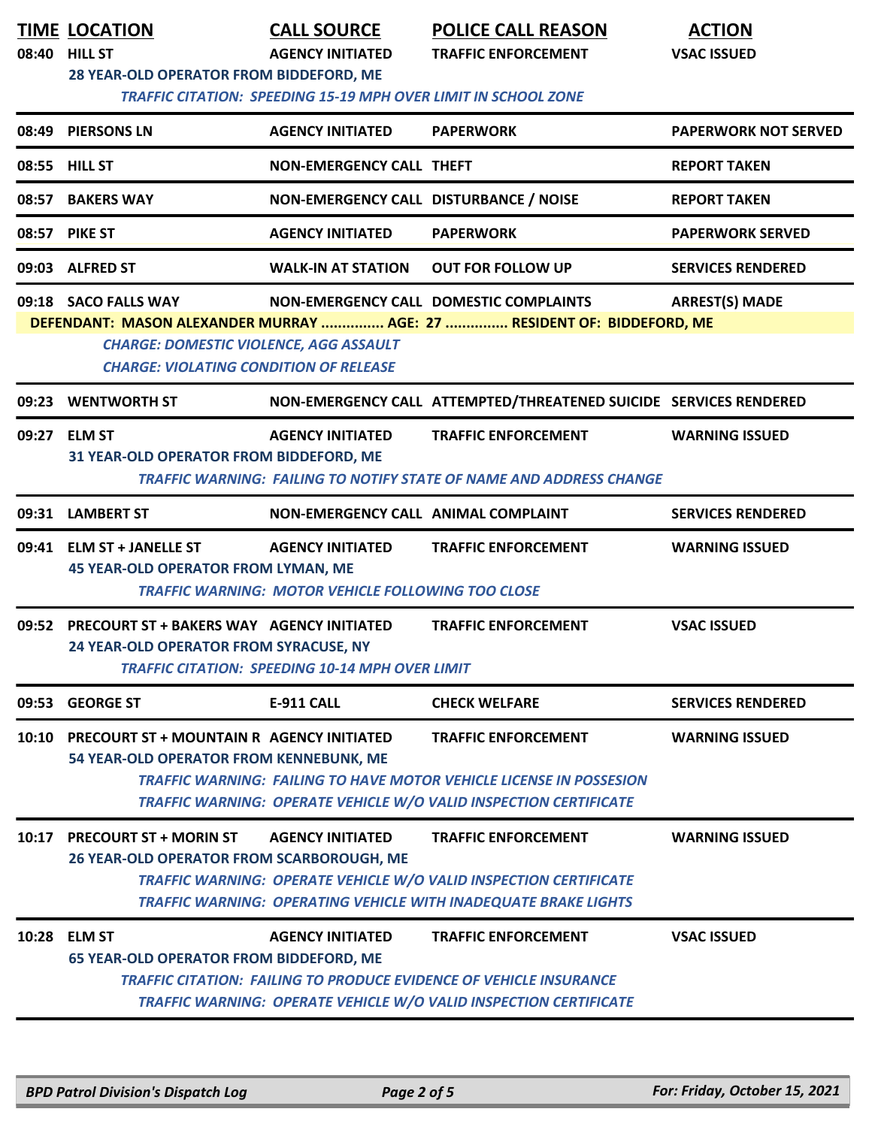| 08:40 | <b>TIME LOCATION</b><br><b>HILL ST</b><br>28 YEAR-OLD OPERATOR FROM BIDDEFORD, ME                                                                                                                                                                                   | <b>CALL SOURCE</b><br><b>AGENCY INITIATED</b><br><b>TRAFFIC CITATION: SPEEDING 15-19 MPH OVER LIMIT IN SCHOOL ZONE</b> | <b>POLICE CALL REASON</b><br><b>TRAFFIC ENFORCEMENT</b>                                                                                                                             | <b>ACTION</b><br><b>VSAC ISSUED</b> |  |  |
|-------|---------------------------------------------------------------------------------------------------------------------------------------------------------------------------------------------------------------------------------------------------------------------|------------------------------------------------------------------------------------------------------------------------|-------------------------------------------------------------------------------------------------------------------------------------------------------------------------------------|-------------------------------------|--|--|
|       | 08:49 PIERSONS LN                                                                                                                                                                                                                                                   | <b>AGENCY INITIATED</b>                                                                                                | <b>PAPERWORK</b>                                                                                                                                                                    | <b>PAPERWORK NOT SERVED</b>         |  |  |
|       | 08:55 HILL ST                                                                                                                                                                                                                                                       | <b>NON-EMERGENCY CALL THEFT</b>                                                                                        |                                                                                                                                                                                     | <b>REPORT TAKEN</b>                 |  |  |
| 08:57 | <b>BAKERS WAY</b>                                                                                                                                                                                                                                                   | NON-EMERGENCY CALL DISTURBANCE / NOISE                                                                                 |                                                                                                                                                                                     | <b>REPORT TAKEN</b>                 |  |  |
|       | 08:57 PIKE ST                                                                                                                                                                                                                                                       | <b>AGENCY INITIATED</b>                                                                                                | <b>PAPERWORK</b>                                                                                                                                                                    | <b>PAPERWORK SERVED</b>             |  |  |
|       | 09:03 ALFRED ST                                                                                                                                                                                                                                                     | <b>WALK-IN AT STATION</b>                                                                                              | <b>OUT FOR FOLLOW UP</b>                                                                                                                                                            | <b>SERVICES RENDERED</b>            |  |  |
|       | 09:18 SACO FALLS WAY<br>NON-EMERGENCY CALL DOMESTIC COMPLAINTS<br><b>ARREST(S) MADE</b><br>DEFENDANT: MASON ALEXANDER MURRAY  AGE: 27  RESIDENT OF: BIDDEFORD, ME<br><b>CHARGE: DOMESTIC VIOLENCE, AGG ASSAULT</b><br><b>CHARGE: VIOLATING CONDITION OF RELEASE</b> |                                                                                                                        |                                                                                                                                                                                     |                                     |  |  |
| 09:23 | <b>WENTWORTH ST</b>                                                                                                                                                                                                                                                 |                                                                                                                        | NON-EMERGENCY CALL ATTEMPTED/THREATENED SUICIDE SERVICES RENDERED                                                                                                                   |                                     |  |  |
|       | 09:27 ELM ST<br>31 YEAR-OLD OPERATOR FROM BIDDEFORD, ME                                                                                                                                                                                                             | <b>AGENCY INITIATED</b>                                                                                                | <b>TRAFFIC ENFORCEMENT</b><br>TRAFFIC WARNING: FAILING TO NOTIFY STATE OF NAME AND ADDRESS CHANGE                                                                                   | <b>WARNING ISSUED</b>               |  |  |
|       | 09:31 LAMBERT ST                                                                                                                                                                                                                                                    | NON-EMERGENCY CALL ANIMAL COMPLAINT                                                                                    |                                                                                                                                                                                     | <b>SERVICES RENDERED</b>            |  |  |
|       | 09:41 ELM ST + JANELLE ST<br><b>45 YEAR-OLD OPERATOR FROM LYMAN, ME</b>                                                                                                                                                                                             | <b>AGENCY INITIATED</b><br><b>TRAFFIC WARNING: MOTOR VEHICLE FOLLOWING TOO CLOSE</b>                                   | <b>TRAFFIC ENFORCEMENT</b>                                                                                                                                                          | <b>WARNING ISSUED</b>               |  |  |
| 09:52 | PRECOURT ST + BAKERS WAY AGENCY INITIATED<br>24 YEAR-OLD OPERATOR FROM SYRACUSE, NY                                                                                                                                                                                 | <b>TRAFFIC CITATION: SPEEDING 10-14 MPH OVER LIMIT</b>                                                                 | <b>TRAFFIC ENFORCEMENT</b>                                                                                                                                                          | <b>VSAC ISSUED</b>                  |  |  |
| 09:53 | <b>GEORGE ST</b>                                                                                                                                                                                                                                                    | <b>E-911 CALL</b>                                                                                                      | <b>CHECK WELFARE</b>                                                                                                                                                                | <b>SERVICES RENDERED</b>            |  |  |
| 10:10 | <b>PRECOURT ST + MOUNTAIN R AGENCY INITIATED</b><br>54 YEAR-OLD OPERATOR FROM KENNEBUNK, ME                                                                                                                                                                         |                                                                                                                        | <b>TRAFFIC ENFORCEMENT</b><br><b>TRAFFIC WARNING: FAILING TO HAVE MOTOR VEHICLE LICENSE IN POSSESION</b><br>TRAFFIC WARNING: OPERATE VEHICLE W/O VALID INSPECTION CERTIFICATE       | <b>WARNING ISSUED</b>               |  |  |
| 10:17 | <b>PRECOURT ST + MORIN ST</b><br><b>26 YEAR-OLD OPERATOR FROM SCARBOROUGH, ME</b>                                                                                                                                                                                   | <b>AGENCY INITIATED</b>                                                                                                | <b>TRAFFIC ENFORCEMENT</b><br>TRAFFIC WARNING: OPERATE VEHICLE W/O VALID INSPECTION CERTIFICATE<br>TRAFFIC WARNING: OPERATING VEHICLE WITH INADEQUATE BRAKE LIGHTS                  | <b>WARNING ISSUED</b>               |  |  |
|       | 10:28 ELM ST<br><b>65 YEAR-OLD OPERATOR FROM BIDDEFORD, ME</b>                                                                                                                                                                                                      | <b>AGENCY INITIATED</b>                                                                                                | <b>TRAFFIC ENFORCEMENT</b><br><b>TRAFFIC CITATION: FAILING TO PRODUCE EVIDENCE OF VEHICLE INSURANCE</b><br><b>TRAFFIC WARNING: OPERATE VEHICLE W/O VALID INSPECTION CERTIFICATE</b> | <b>VSAC ISSUED</b>                  |  |  |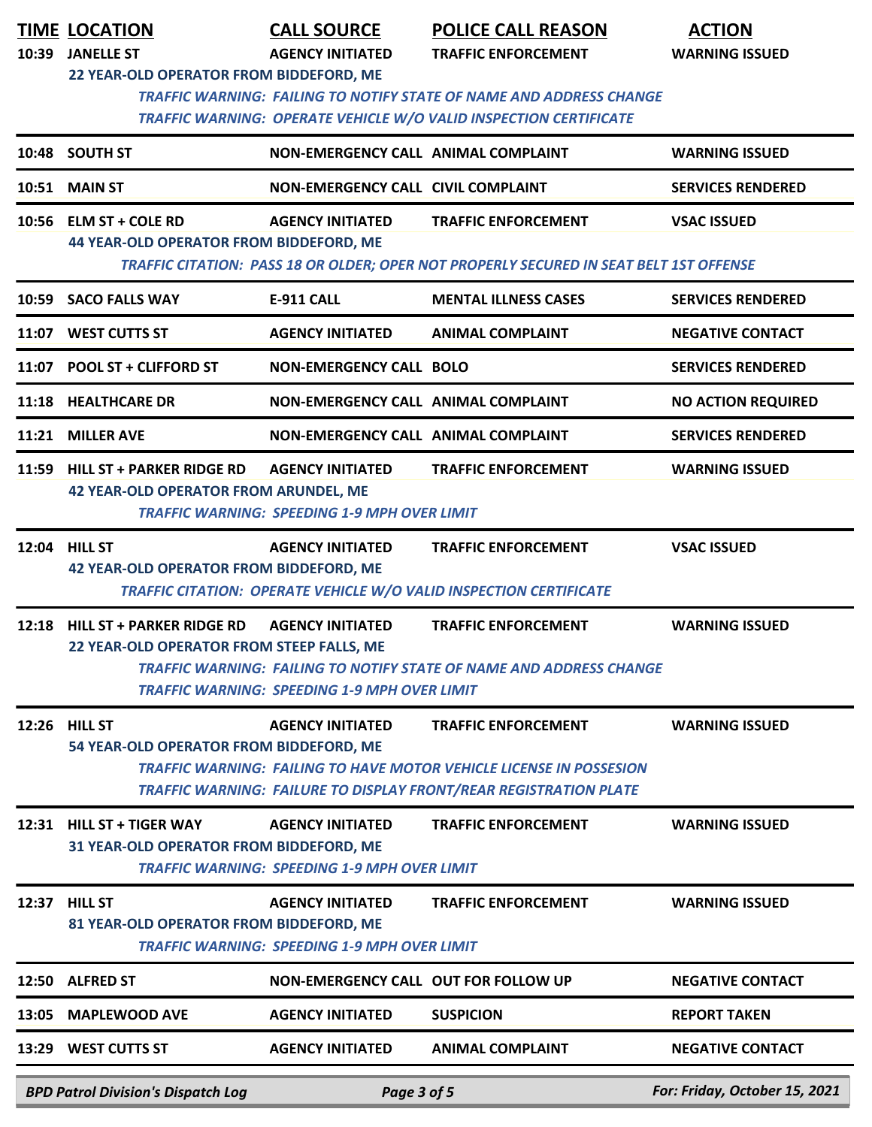| 10:39 | <b>TIME LOCATION</b><br><b>JANELLE ST</b>                                       | <b>CALL SOURCE</b><br><b>AGENCY INITIATED</b>                                  | <b>POLICE CALL REASON</b><br><b>TRAFFIC ENFORCEMENT</b>                                                                                                                              | <b>ACTION</b><br><b>WARNING ISSUED</b> |
|-------|---------------------------------------------------------------------------------|--------------------------------------------------------------------------------|--------------------------------------------------------------------------------------------------------------------------------------------------------------------------------------|----------------------------------------|
|       | 22 YEAR-OLD OPERATOR FROM BIDDEFORD, ME                                         |                                                                                | <b>TRAFFIC WARNING: FAILING TO NOTIFY STATE OF NAME AND ADDRESS CHANGE</b><br>TRAFFIC WARNING: OPERATE VEHICLE W/O VALID INSPECTION CERTIFICATE                                      |                                        |
|       | 10:48 SOUTH ST                                                                  | NON-EMERGENCY CALL ANIMAL COMPLAINT                                            |                                                                                                                                                                                      | <b>WARNING ISSUED</b>                  |
|       | <b>10:51 MAIN ST</b>                                                            | <b>NON-EMERGENCY CALL CIVIL COMPLAINT</b>                                      |                                                                                                                                                                                      | <b>SERVICES RENDERED</b>               |
|       | 10:56 ELM ST + COLE RD<br><b>44 YEAR-OLD OPERATOR FROM BIDDEFORD, ME</b>        | <b>AGENCY INITIATED</b>                                                        | <b>TRAFFIC ENFORCEMENT</b><br>TRAFFIC CITATION: PASS 18 OR OLDER; OPER NOT PROPERLY SECURED IN SEAT BELT 1ST OFFENSE                                                                 | <b>VSAC ISSUED</b>                     |
|       | 10:59 SACO FALLS WAY                                                            | E-911 CALL                                                                     | <b>MENTAL ILLNESS CASES</b>                                                                                                                                                          | <b>SERVICES RENDERED</b>               |
|       | 11:07 WEST CUTTS ST                                                             | <b>AGENCY INITIATED</b>                                                        | <b>ANIMAL COMPLAINT</b>                                                                                                                                                              | <b>NEGATIVE CONTACT</b>                |
|       | 11:07 POOL ST + CLIFFORD ST                                                     | <b>NON-EMERGENCY CALL BOLO</b>                                                 |                                                                                                                                                                                      | <b>SERVICES RENDERED</b>               |
|       | 11:18 HEALTHCARE DR                                                             | NON-EMERGENCY CALL ANIMAL COMPLAINT                                            |                                                                                                                                                                                      | <b>NO ACTION REQUIRED</b>              |
|       | 11:21 MILLER AVE                                                                | <b>NON-EMERGENCY CALL ANIMAL COMPLAINT</b>                                     |                                                                                                                                                                                      | <b>SERVICES RENDERED</b>               |
|       | 11:59 HILL ST + PARKER RIDGE RD<br><b>42 YEAR-OLD OPERATOR FROM ARUNDEL, ME</b> | <b>AGENCY INITIATED</b><br><b>TRAFFIC WARNING: SPEEDING 1-9 MPH OVER LIMIT</b> | <b>TRAFFIC ENFORCEMENT</b>                                                                                                                                                           | <b>WARNING ISSUED</b>                  |
| 12:04 | <b>HILL ST</b><br><b>42 YEAR-OLD OPERATOR FROM BIDDEFORD, ME</b>                | <b>AGENCY INITIATED</b>                                                        | <b>TRAFFIC ENFORCEMENT</b><br>TRAFFIC CITATION: OPERATE VEHICLE W/O VALID INSPECTION CERTIFICATE                                                                                     | <b>VSAC ISSUED</b>                     |
|       | 12:18 HILL ST + PARKER RIDGE RD<br>22 YEAR-OLD OPERATOR FROM STEEP FALLS, ME    | <b>AGENCY INITIATED</b><br><b>TRAFFIC WARNING: SPEEDING 1-9 MPH OVER LIMIT</b> | <b>TRAFFIC ENFORCEMENT</b><br><b>TRAFFIC WARNING: FAILING TO NOTIFY STATE OF NAME AND ADDRESS CHANGE</b>                                                                             | <b>WARNING ISSUED</b>                  |
|       | 12:26 HILL ST<br>54 YEAR-OLD OPERATOR FROM BIDDEFORD, ME                        | <b>AGENCY INITIATED</b>                                                        | <b>TRAFFIC ENFORCEMENT</b><br><b>TRAFFIC WARNING: FAILING TO HAVE MOTOR VEHICLE LICENSE IN POSSESION</b><br><b>TRAFFIC WARNING: FAILURE TO DISPLAY FRONT/REAR REGISTRATION PLATE</b> | <b>WARNING ISSUED</b>                  |
|       | 12:31 HILL ST + TIGER WAY<br>31 YEAR-OLD OPERATOR FROM BIDDEFORD, ME            | <b>AGENCY INITIATED</b><br><b>TRAFFIC WARNING: SPEEDING 1-9 MPH OVER LIMIT</b> | <b>TRAFFIC ENFORCEMENT</b>                                                                                                                                                           | <b>WARNING ISSUED</b>                  |
|       | 12:37 HILL ST<br>81 YEAR-OLD OPERATOR FROM BIDDEFORD, ME                        | <b>AGENCY INITIATED</b><br><b>TRAFFIC WARNING: SPEEDING 1-9 MPH OVER LIMIT</b> | <b>TRAFFIC ENFORCEMENT</b>                                                                                                                                                           | <b>WARNING ISSUED</b>                  |
| 12:50 | <b>ALFRED ST</b>                                                                | NON-EMERGENCY CALL OUT FOR FOLLOW UP                                           |                                                                                                                                                                                      | <b>NEGATIVE CONTACT</b>                |
| 13:05 | <b>MAPLEWOOD AVE</b>                                                            | <b>AGENCY INITIATED</b>                                                        | <b>SUSPICION</b>                                                                                                                                                                     | <b>REPORT TAKEN</b>                    |
|       | 13:29 WEST CUTTS ST                                                             | <b>AGENCY INITIATED</b>                                                        | <b>ANIMAL COMPLAINT</b>                                                                                                                                                              | <b>NEGATIVE CONTACT</b>                |
|       | <b>BPD Patrol Division's Dispatch Log</b>                                       | Page 3 of 5                                                                    |                                                                                                                                                                                      | For: Friday, October 15, 2021          |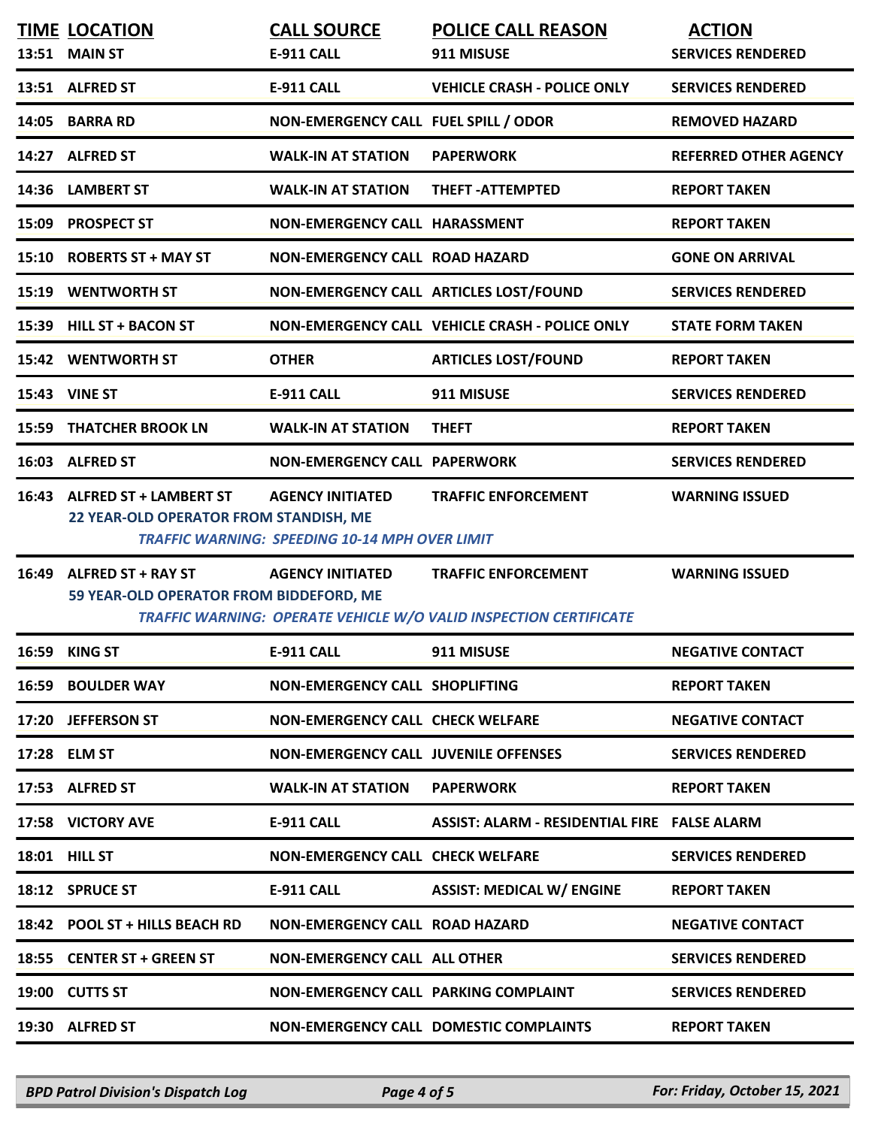|       | <b>TIME LOCATION</b><br>13:51 MAIN ST                                  | <b>CALL SOURCE</b><br>E-911 CALL                                                 | <b>POLICE CALL REASON</b><br>911 MISUSE                                                         | <b>ACTION</b><br><b>SERVICES RENDERED</b> |
|-------|------------------------------------------------------------------------|----------------------------------------------------------------------------------|-------------------------------------------------------------------------------------------------|-------------------------------------------|
|       | 13:51 ALFRED ST                                                        | E-911 CALL                                                                       | <b>VEHICLE CRASH - POLICE ONLY</b>                                                              | <b>SERVICES RENDERED</b>                  |
|       | 14:05 BARRA RD                                                         | NON-EMERGENCY CALL FUEL SPILL / ODOR                                             |                                                                                                 | <b>REMOVED HAZARD</b>                     |
|       | 14:27 ALFRED ST                                                        | <b>WALK-IN AT STATION</b>                                                        | <b>PAPERWORK</b>                                                                                | <b>REFERRED OTHER AGENCY</b>              |
|       | 14:36 LAMBERT ST                                                       | <b>WALK-IN AT STATION</b>                                                        | <b>THEFT-ATTEMPTED</b>                                                                          | <b>REPORT TAKEN</b>                       |
|       | 15:09 PROSPECT ST                                                      | <b>NON-EMERGENCY CALL HARASSMENT</b>                                             |                                                                                                 | <b>REPORT TAKEN</b>                       |
|       | 15:10 ROBERTS ST + MAY ST                                              | <b>NON-EMERGENCY CALL ROAD HAZARD</b>                                            |                                                                                                 | <b>GONE ON ARRIVAL</b>                    |
|       | <b>15:19 WENTWORTH ST</b>                                              |                                                                                  | NON-EMERGENCY CALL ARTICLES LOST/FOUND                                                          | <b>SERVICES RENDERED</b>                  |
|       | 15:39 HILL ST + BACON ST                                               |                                                                                  | NON-EMERGENCY CALL VEHICLE CRASH - POLICE ONLY                                                  | <b>STATE FORM TAKEN</b>                   |
|       | <b>15:42 WENTWORTH ST</b>                                              | <b>OTHER</b>                                                                     | <b>ARTICLES LOST/FOUND</b>                                                                      | <b>REPORT TAKEN</b>                       |
|       | 15:43 VINE ST                                                          | <b>E-911 CALL</b>                                                                | 911 MISUSE                                                                                      | <b>SERVICES RENDERED</b>                  |
|       | <b>15:59 THATCHER BROOK LN</b>                                         | <b>WALK-IN AT STATION</b>                                                        | <b>THEFT</b>                                                                                    | <b>REPORT TAKEN</b>                       |
|       | 16:03 ALFRED ST                                                        | <b>NON-EMERGENCY CALL PAPERWORK</b>                                              |                                                                                                 | <b>SERVICES RENDERED</b>                  |
|       | 16:43 ALFRED ST + LAMBERT ST<br>22 YEAR-OLD OPERATOR FROM STANDISH, ME | <b>AGENCY INITIATED</b><br><b>TRAFFIC WARNING: SPEEDING 10-14 MPH OVER LIMIT</b> | <b>TRAFFIC ENFORCEMENT</b>                                                                      | <b>WARNING ISSUED</b>                     |
| 16:49 | <b>ALFRED ST + RAY ST</b><br>59 YEAR-OLD OPERATOR FROM BIDDEFORD, ME   | <b>AGENCY INITIATED</b>                                                          | <b>TRAFFIC ENFORCEMENT</b><br>TRAFFIC WARNING: OPERATE VEHICLE W/O VALID INSPECTION CERTIFICATE | <b>WARNING ISSUED</b>                     |
|       | <b>16:59 KING ST</b>                                                   | <b>E-911 CALL</b>                                                                | 911 MISUSE                                                                                      | <b>NEGATIVE CONTACT</b>                   |
|       | <b>16:59 BOULDER WAY</b>                                               | <b>NON-EMERGENCY CALL SHOPLIFTING</b>                                            |                                                                                                 | <b>REPORT TAKEN</b>                       |
|       | 17:20 JEFFERSON ST                                                     | NON-EMERGENCY CALL CHECK WELFARE                                                 |                                                                                                 | <b>NEGATIVE CONTACT</b>                   |
|       | 17:28 ELM ST                                                           | <b>NON-EMERGENCY CALL JUVENILE OFFENSES</b>                                      |                                                                                                 | <b>SERVICES RENDERED</b>                  |
|       | 17:53 ALFRED ST                                                        | <b>WALK-IN AT STATION</b>                                                        | <b>PAPERWORK</b>                                                                                | <b>REPORT TAKEN</b>                       |
|       | 17:58 VICTORY AVE                                                      | E-911 CALL                                                                       | ASSIST: ALARM - RESIDENTIAL FIRE FALSE ALARM                                                    |                                           |
|       | <b>18:01 HILL ST</b>                                                   | <b>NON-EMERGENCY CALL CHECK WELFARE</b>                                          |                                                                                                 | <b>SERVICES RENDERED</b>                  |
|       | 18:12 SPRUCE ST                                                        | <b>E-911 CALL</b>                                                                | <b>ASSIST: MEDICAL W/ ENGINE</b>                                                                | <b>REPORT TAKEN</b>                       |
|       | 18:42 POOL ST + HILLS BEACH RD                                         | NON-EMERGENCY CALL ROAD HAZARD                                                   |                                                                                                 | <b>NEGATIVE CONTACT</b>                   |
|       | 18:55 CENTER ST + GREEN ST                                             | <b>NON-EMERGENCY CALL ALL OTHER</b>                                              |                                                                                                 | <b>SERVICES RENDERED</b>                  |
|       | 19:00 CUTTS ST                                                         | NON-EMERGENCY CALL PARKING COMPLAINT                                             |                                                                                                 | <b>SERVICES RENDERED</b>                  |
|       | 19:30 ALFRED ST                                                        |                                                                                  | <b>NON-EMERGENCY CALL DOMESTIC COMPLAINTS</b>                                                   | <b>REPORT TAKEN</b>                       |
|       |                                                                        |                                                                                  |                                                                                                 |                                           |